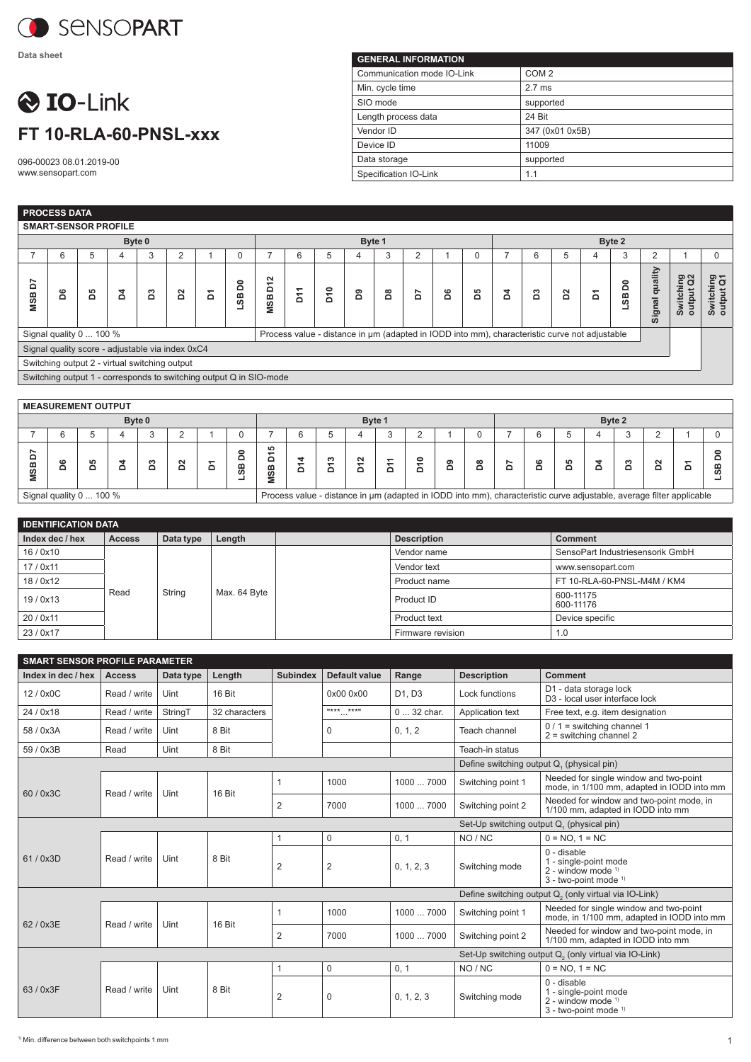

**Data sheet**

## **O** IO-Link **FT 10-RLA-60-PNSL-xxx**

096-00023 08.01.2019-00 www.sensopart.com

| <b>GENERAL INFORMATION</b> |                  |  |  |  |  |  |  |  |  |
|----------------------------|------------------|--|--|--|--|--|--|--|--|
| Communication mode IO-Link | COM <sub>2</sub> |  |  |  |  |  |  |  |  |
| Min. cycle time            | $2.7$ ms         |  |  |  |  |  |  |  |  |
| SIO mode                   | supported        |  |  |  |  |  |  |  |  |
| Length process data        | 24 Bit           |  |  |  |  |  |  |  |  |
| Vendor ID                  | 347 (0x01 0x5B)  |  |  |  |  |  |  |  |  |
| Device ID                  | 11009            |  |  |  |  |  |  |  |  |
| Data storage               | supported        |  |  |  |  |  |  |  |  |
| Specification IO-Link      | 1.1              |  |  |  |  |  |  |  |  |

|                                                                                                                          | <b>PROCESS DATA</b>                                                |    |    |        |                |   |          |               |    |                 |    |   |                |   |             |   |   |   |   |                   |                |                                  |                        |
|--------------------------------------------------------------------------------------------------------------------------|--------------------------------------------------------------------|----|----|--------|----------------|---|----------|---------------|----|-----------------|----|---|----------------|---|-------------|---|---|---|---|-------------------|----------------|----------------------------------|------------------------|
|                                                                                                                          | <b>SMART-SENSOR PROFILE</b>                                        |    |    |        |                |   |          |               |    |                 |    |   |                |   |             |   |   |   |   |                   |                |                                  |                        |
|                                                                                                                          |                                                                    |    |    | Byte 0 |                |   |          | Byte 1        |    |                 |    |   |                |   | Byte 2      |   |   |   |   |                   |                |                                  |                        |
|                                                                                                                          | 6                                                                  | 5  | 4  | 3      | $\overline{2}$ |   | 0        | 7             | 6  | 5               | 4  | 3 | $\overline{2}$ |   | $\mathbf 0$ |   | 6 | 5 | 4 | 3                 | 2              |                                  | 0                      |
| ă<br><b>MSB</b>                                                                                                          | å                                                                  | 29 | Z, | ដ      | S <sub>2</sub> | Σ | å<br>SS_ | <b>MSBD12</b> | Σň | D <sub>10</sub> | රි | ã | ć              | å | B5          | ă | ដ | δ | δ | LSB <sub>D0</sub> | Signal quality | Switching<br>output Q2<br>output | Switching<br>output Q1 |
| Signal quality 0  100 %<br>Process value - distance in µm (adapted in IODD into mm), characteristic curve not adjustable |                                                                    |    |    |        |                |   |          |               |    |                 |    |   |                |   |             |   |   |   |   |                   |                |                                  |                        |
|                                                                                                                          | Signal quality score - adjustable via index 0xC4                   |    |    |        |                |   |          |               |    |                 |    |   |                |   |             |   |   |   |   |                   |                |                                  |                        |
|                                                                                                                          | Switching output 2 - virtual switching output                      |    |    |        |                |   |          |               |    |                 |    |   |                |   |             |   |   |   |   |                   |                |                                  |                        |
|                                                                                                                          | Switching output 1 - corresponds to switching output Q in SIO-mode |    |    |        |                |   |          |               |    |                 |    |   |                |   |             |   |   |   |   |                   |                |                                  |                        |
|                                                                                                                          |                                                                    |    |    |        |                |   |          |               |    |                 |    |   |                |   |             |   |   |   |   |                   |                |                                  |                        |
|                                                                                                                          | <b>MEASUREMENT OUTPUT</b>                                          |    |    |        |                |   |          |               |    |                 |    |   |                |   |             |   |   |   |   |                   |                |                                  |                        |
|                                                                                                                          |                                                                    |    |    | Byte 0 |                |   |          | Byte 1        |    |                 |    |   |                |   | Byte 2      |   |   |   |   |                   |                |                                  |                        |
|                                                                                                                          | 6                                                                  | 5  |    | 3      |                |   | $\Omega$ |               | 6  | 5               | 4  | 3 | 2              |   | 0           |   | 6 | 5 |   | 3                 | 2              |                                  |                        |

| ≏<br>8                  | œ |  |  |  |  |  | ഗ | <b>LO</b><br>≃<br>ഗ |  |                                                                                                                      |  | ຶ |  | $\mathbf c$ |  |  |  |
|-------------------------|---|--|--|--|--|--|---|---------------------|--|----------------------------------------------------------------------------------------------------------------------|--|---|--|-------------|--|--|--|
| Signal quality 0  100 % |   |  |  |  |  |  |   |                     |  | Process value - distance in µm (adapted in IODD into mm), characteristic curve adjustable, average filter applicable |  |   |  |             |  |  |  |

| <b>IDENTIFICATION DATA</b> |               |           |              |  |                    |                                  |  |  |  |  |
|----------------------------|---------------|-----------|--------------|--|--------------------|----------------------------------|--|--|--|--|
| Index dec / hex            | <b>Access</b> | Data type | Length       |  | <b>Description</b> | <b>Comment</b>                   |  |  |  |  |
| 16/0x10                    |               |           | Max. 64 Byte |  | Vendor name        | SensoPart Industriesensorik GmbH |  |  |  |  |
| 17/0x11                    |               |           |              |  | Vendor text        | www.sensopart.com                |  |  |  |  |
| 18/0x12                    |               |           |              |  | Product name       | FT 10-RLA-60-PNSL-M4M / KM4      |  |  |  |  |
| 19/0x13                    | Read          | String    |              |  | Product ID         | 600-11175<br>600-11176           |  |  |  |  |
| 20 / 0x11                  |               |           |              |  | Product text       | Device specific                  |  |  |  |  |
| 23/0x17                    |               |           |              |  | Firmware revision  | 0. ا                             |  |  |  |  |

| <b>SMART SENSOR PROFILE PARAMETER</b>    |               |           |               |                                           |                       |             |                    |                                                                                                   |  |  |  |
|------------------------------------------|---------------|-----------|---------------|-------------------------------------------|-----------------------|-------------|--------------------|---------------------------------------------------------------------------------------------------|--|--|--|
| Index in dec / hex                       | <b>Access</b> | Data type | Length        | <b>Subindex</b>                           | Default value         | Range       | <b>Description</b> | <b>Comment</b>                                                                                    |  |  |  |
| 12/0x0C                                  | Read / write  | Uint      | 16 Bit        |                                           | 0x00 0x00             | D1. D3      | Lock functions     | D1 - data storage lock<br>D <sub>3</sub> - local user interface lock                              |  |  |  |
| 24 / 0x18                                | Read / write  | StringT   | 32 characters |                                           | **** ****<br>$\cdots$ | 0  32 char. | Application text   | Free text, e.g. item designation                                                                  |  |  |  |
| 58 / 0x3A                                | Read / write  | Uint      | 8 Bit         |                                           | $\mathbf 0$           | 0, 1, 2     | Teach channel      | $0/1$ = switching channel 1<br>$2$ = switching channel 2                                          |  |  |  |
| 59 / 0x3B                                | Read          | Uint      | 8 Bit         |                                           |                       |             | Teach-in status    |                                                                                                   |  |  |  |
|                                          |               |           |               | Define switching output Q, (physical pin) |                       |             |                    |                                                                                                   |  |  |  |
| 60/0x3C                                  |               | Uint      | 16 Bit        |                                           | 1000                  | 1000  7000  | Switching point 1  | Needed for single window and two-point<br>mode, in 1/100 mm, adapted in IODD into mm              |  |  |  |
|                                          | Read / write  |           |               | 2                                         | 7000                  | 1000  7000  | Switching point 2  | Needed for window and two-point mode, in<br>1/100 mm, adapted in IODD into mm                     |  |  |  |
| Set-Up switching output Q (physical pin) |               |           |               |                                           |                       |             |                    |                                                                                                   |  |  |  |
|                                          |               |           |               | $\mathbf{1}$                              | 0                     | 0, 1        | NO / NC            | $0 = NO. 1 = NC$                                                                                  |  |  |  |
| 61/0x3D                                  | Read / write  | Uint      | 8 Bit         | 2                                         | $\overline{2}$        | 0, 1, 2, 3  | Switching mode     | $0 -$ disable<br>1 - single-point mode<br>2 - window mode $1$<br>$3 -$ two-point mode $1$         |  |  |  |
|                                          |               |           |               |                                           |                       |             |                    | Define switching output Q <sub>2</sub> (only virtual via IO-Link)                                 |  |  |  |
| 62 / 0x3E                                | Read / write  | Uint      | 16 Bit        | $\mathbf{1}$                              | 1000                  | 1000  7000  | Switching point 1  | Needed for single window and two-point<br>mode, in 1/100 mm, adapted in IODD into mm              |  |  |  |
|                                          |               |           |               | 2                                         | 7000                  | 1000  7000  | Switching point 2  | Needed for window and two-point mode, in<br>1/100 mm, adapted in IODD into mm                     |  |  |  |
|                                          |               |           |               |                                           |                       |             |                    | Set-Up switching output Q <sub>2</sub> (only virtual via IO-Link)                                 |  |  |  |
|                                          |               |           |               | $\mathbf{1}$                              | $\mathbf 0$           | 0, 1        | NO / NC            | $0 = NO. 1 = NC$                                                                                  |  |  |  |
| 63 / 0x3F                                | Read / write  | Uint      | 8 Bit         | $\overline{2}$                            | $\mathbf 0$           | 0, 1, 2, 3  | Switching mode     | 0 - disable<br>1 - single-point mode<br>$2$ - window mode $1$<br>3 - two-point mode <sup>1)</sup> |  |  |  |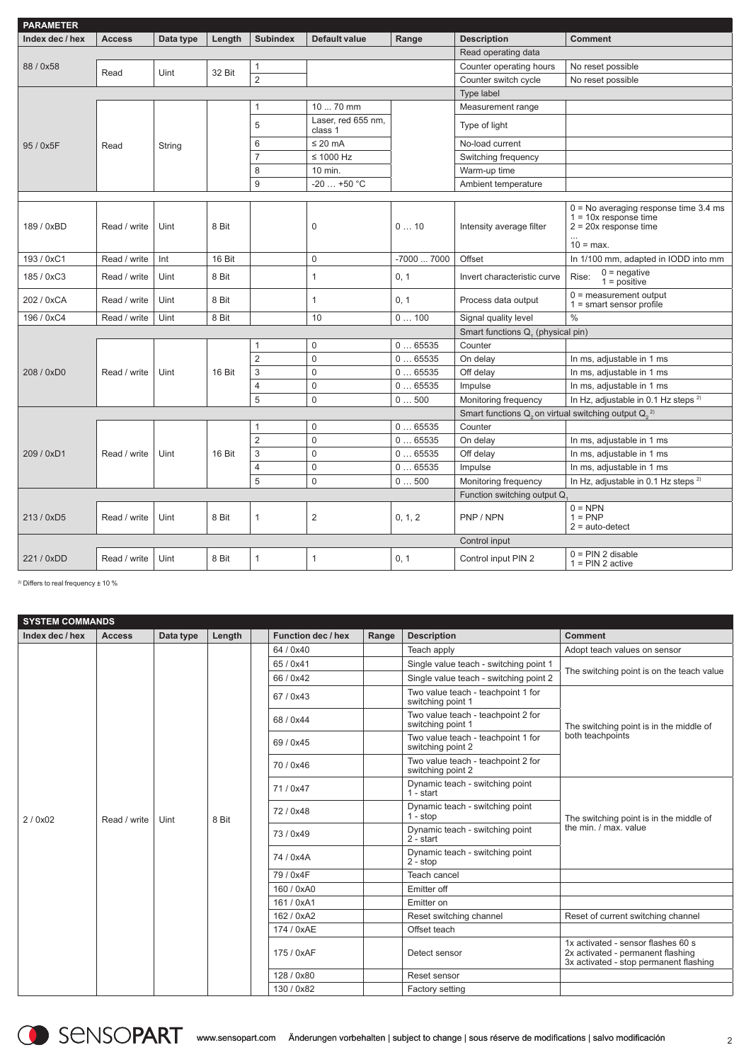| <b>PARAMETER</b> |               |           |        |                 |                               |                                   |                                                                       |                                                                                               |
|------------------|---------------|-----------|--------|-----------------|-------------------------------|-----------------------------------|-----------------------------------------------------------------------|-----------------------------------------------------------------------------------------------|
| Index dec / hex  | <b>Access</b> | Data type | Length | <b>Subindex</b> | Default value                 | Range                             | <b>Description</b>                                                    | <b>Comment</b>                                                                                |
|                  |               |           |        |                 |                               |                                   | Read operating data                                                   |                                                                                               |
| 88 / 0x58        | Read          | Uint      | 32 Bit | 1               |                               |                                   | Counter operating hours                                               | No reset possible                                                                             |
|                  |               |           |        | $\overline{2}$  |                               |                                   | Counter switch cycle                                                  | No reset possible                                                                             |
|                  |               |           |        |                 |                               |                                   | Type label                                                            |                                                                                               |
|                  |               |           |        | 1               | 10  70 mm                     |                                   | Measurement range                                                     |                                                                                               |
|                  |               |           |        | 5               | Laser, red 655 nm,<br>class 1 |                                   | Type of light                                                         |                                                                                               |
| 95 / 0x5F        | Read          | String    |        | 6               | $\leq$ 20 mA                  |                                   | No-load current                                                       |                                                                                               |
|                  |               |           |        | $\overline{7}$  | $\leq 1000$ Hz                |                                   | Switching frequency                                                   |                                                                                               |
|                  |               |           |        | 8               | 10 min.                       |                                   | Warm-up time                                                          |                                                                                               |
|                  |               |           |        | 9               | $-20+50$ °C                   |                                   | Ambient temperature                                                   |                                                                                               |
|                  |               |           |        |                 |                               |                                   |                                                                       |                                                                                               |
| 189 / 0xBD       | Read / write  | Uint      | 8 Bit  |                 | 0                             | 010                               | Intensity average filter                                              | $0 = No$ averaging response time 3.4 ms<br>$1 = 10x$ response time<br>$2 = 20x$ response time |
|                  |               |           |        |                 |                               |                                   |                                                                       | $10 = max$ .                                                                                  |
| 193 / 0xC1       | Read / write  | Int       | 16 Bit |                 | 0                             | -7000  7000                       | Offset                                                                | In 1/100 mm, adapted in IODD into mm                                                          |
| 185 / 0xC3       | Read / write  | Uint      | 8 Bit  |                 | 1                             | 0, 1                              | Invert characteristic curve                                           | $0$ = negative<br>Rise:<br>$1 = positive$                                                     |
| 202 / 0xCA       | Read / write  | Uint      | 8 Bit  |                 | 1                             | 0, 1                              | Process data output                                                   | $0 = measurement$ output<br>$1 =$ smart sensor profile                                        |
| 196 / 0xC4       | Read / write  | Uint      | 8 Bit  |                 | 10                            | 0100                              | Signal quality level                                                  | $\frac{0}{0}$                                                                                 |
|                  |               |           |        |                 |                               | Smart functions Q. (physical pin) |                                                                       |                                                                                               |
|                  |               |           |        | 1               | 0                             | 065535                            | Counter                                                               |                                                                                               |
|                  |               | Uint      |        | $\overline{2}$  | 0                             | 065535                            | On delay                                                              | In ms, adjustable in 1 ms                                                                     |
| 208 / 0xD0       | Read / write  |           | 16 Bit | 3               | 0                             | 065535                            | Off delay                                                             | In ms, adjustable in 1 ms                                                                     |
|                  |               |           |        | 4               | 0                             | 065535                            | Impulse                                                               | In ms, adjustable in 1 ms                                                                     |
|                  |               |           |        | 5               | 0                             | 0500                              | Monitoring frequency                                                  | In Hz, adjustable in 0.1 Hz steps <sup>2)</sup>                                               |
|                  |               |           |        |                 |                               |                                   | Smart functions $Q_2$ on virtual switching output $Q_2$ <sup>2)</sup> |                                                                                               |
|                  |               |           |        | 1               | 0                             | 065535                            | Counter                                                               |                                                                                               |
|                  |               |           |        | $\overline{2}$  | 0                             | 065535                            | On delay                                                              | In ms, adjustable in 1 ms                                                                     |
| 209 / 0xD1       | Read / write  | Uint      | 16 Bit | 3               | $\Omega$                      | 065535                            | Off delay                                                             | In ms, adjustable in 1 ms                                                                     |
|                  |               |           |        | 4               | 0                             | 065535                            | Impulse                                                               | In ms, adjustable in 1 ms                                                                     |
|                  |               |           |        | 5               | 0                             | 0500                              | Monitoring frequency                                                  | In Hz, adjustable in 0.1 Hz steps <sup>2)</sup>                                               |
|                  |               |           |        |                 |                               |                                   | Function switching output Q                                           |                                                                                               |
| 213 / 0xD5       | Read / write  | Uint      | 8 Bit  | 1               | 2                             | 0, 1, 2                           | PNP / NPN                                                             | $0 = NPN$<br>$1 = PNP$<br>$2 = auto-detect$                                                   |
|                  |               |           |        |                 |                               |                                   | Control input                                                         |                                                                                               |
| 221 / 0xDD       | Read / write  | Uint      | 8 Bit  | 1               | $\mathbf{1}$                  | 0, 1                              | Control input PIN 2                                                   | $0 = PIN 2$ disable<br>$1 = PIN 2$ active                                                     |

2) Differs to real frequency ± 10 %

| <b>SYSTEM COMMANDS</b> |               |           |        |                    |       |                                                         |                                                                                                                   |  |  |  |
|------------------------|---------------|-----------|--------|--------------------|-------|---------------------------------------------------------|-------------------------------------------------------------------------------------------------------------------|--|--|--|
| Index dec / hex        | <b>Access</b> | Data type | Length | Function dec / hex | Range | <b>Description</b>                                      | Comment                                                                                                           |  |  |  |
|                        |               |           |        | 64 / 0x40          |       | Teach apply                                             | Adopt teach values on sensor                                                                                      |  |  |  |
|                        |               |           |        | 65/0x41            |       | Single value teach - switching point 1                  | The switching point is on the teach value                                                                         |  |  |  |
|                        |               |           |        | 66 / 0x42          |       | Single value teach - switching point 2                  |                                                                                                                   |  |  |  |
|                        |               |           |        | 67/0x43            |       | Two value teach - teachpoint 1 for<br>switching point 1 |                                                                                                                   |  |  |  |
|                        |               |           | 8 Bit  | 68 / 0x44          |       | Two value teach - teachpoint 2 for<br>switching point 1 | The switching point is in the middle of                                                                           |  |  |  |
|                        |               |           |        | 69/0x45            |       | Two value teach - teachpoint 1 for<br>switching point 2 | both teachpoints                                                                                                  |  |  |  |
|                        | Read / write  | Uint      |        | 70/0x46            |       | Two value teach - teachpoint 2 for<br>switching point 2 |                                                                                                                   |  |  |  |
|                        |               |           |        | 71/0x47            |       | Dynamic teach - switching point<br>$1 - start$          |                                                                                                                   |  |  |  |
| 2/0x02                 |               |           |        | 72/0x48            |       | The switching point is in the middle of                 |                                                                                                                   |  |  |  |
|                        |               |           |        | 73/0x49            |       | Dynamic teach - switching point<br>$2 - start$          | the min. / max. value                                                                                             |  |  |  |
|                        |               |           |        | 74 / 0x4A          |       | Dynamic teach - switching point<br>$2 - stop$           |                                                                                                                   |  |  |  |
|                        |               |           |        | 79 / 0x4F          |       | Teach cancel                                            |                                                                                                                   |  |  |  |
|                        |               |           |        | 160 / 0xA0         |       | Emitter off                                             |                                                                                                                   |  |  |  |
|                        |               |           |        | 161/0xA1           |       | Emitter on                                              |                                                                                                                   |  |  |  |
|                        |               |           |        | 162 / 0xA2         |       | Reset switching channel                                 | Reset of current switching channel                                                                                |  |  |  |
|                        |               |           |        | 174 / 0xAE         |       | Offset teach                                            |                                                                                                                   |  |  |  |
|                        |               |           |        | 175 / 0xAF         |       | Detect sensor                                           | 1x activated - sensor flashes 60 s<br>2x activated - permanent flashing<br>3x activated - stop permanent flashing |  |  |  |
|                        |               |           |        | 128/0x80           |       |                                                         |                                                                                                                   |  |  |  |
|                        |               |           |        | 130 / 0x82         |       | Factory setting                                         |                                                                                                                   |  |  |  |